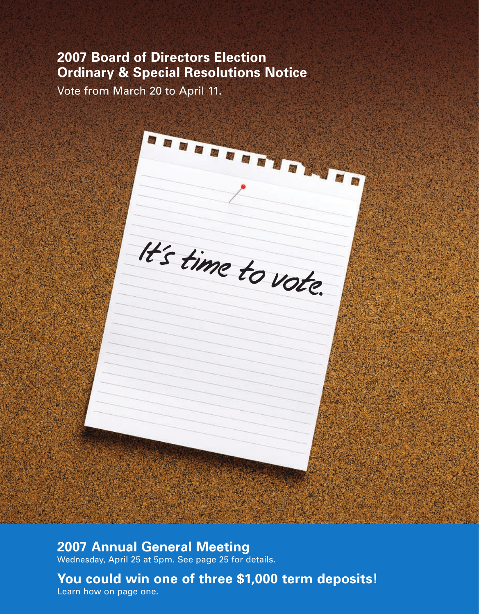## **2007 Board of Directors Election Ordinary & Special Resolutions Notice**

Vote from March 20 to April 11.

# 西岛 It's time to vote.

n d a a a a a

## **2007 Annual General Meeting**

Wednesday, April 25 at 5pm. See page 25 for details.

**You could win one of three \$1,000 term deposits!** Learn how on page one.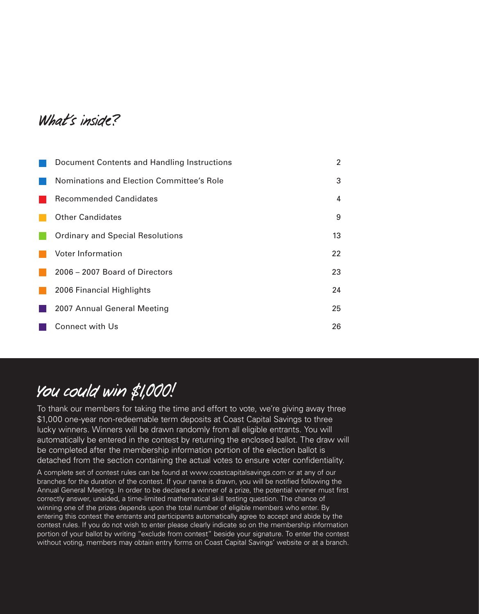What's inside?

| Document Contents and Handling Instructions | 2  |
|---------------------------------------------|----|
| Nominations and Election Committee's Role   | 3  |
| <b>Recommended Candidates</b>               | 4  |
| <b>Other Candidates</b>                     | 9  |
| <b>Ordinary and Special Resolutions</b>     | 13 |
| Voter Information                           | 22 |
| 2006 – 2007 Board of Directors              | 23 |
| 2006 Financial Highlights                   | 24 |
| 2007 Annual General Meeting                 | 25 |
| Connect with Us                             | 26 |

## You could win \$1,000!

To thank our members for taking the time and effort to vote, we're giving away three \$1,000 one-year non-redeemable term deposits at Coast Capital Savings to three lucky winners. Winners will be drawn randomly from all eligible entrants. You will automatically be entered in the contest by returning the enclosed ballot. The draw will be completed after the membership information portion of the election ballot is detached from the section containing the actual votes to ensure voter confidentiality.

A complete set of contest rules can be found at www.coastcapitalsavings.com or at any of our branches for the duration of the contest. If your name is drawn, you will be notified following the Annual General Meeting. In order to be declared a winner of a prize, the potential winner must first correctly answer, unaided, a time-limited mathematical skill testing question. The chance of winning one of the prizes depends upon the total number of eligible members who enter. By entering this contest the entrants and participants automatically agree to accept and abide by the contest rules. If you do not wish to enter please clearly indicate so on the membership information portion of your ballot by writing "exclude from contest" beside your signature. To enter the contest without voting, members may obtain entry forms on Coast Capital Savings' website or at a branch.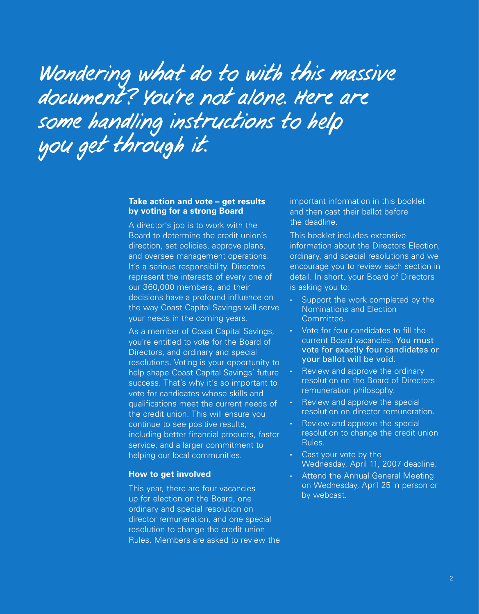# Wondering what do to with this massive document? You're not alone. Here are some handling instructions to help you get through it.

#### **Take action and vote – get results by voting for a strong Board**

A director's job is to work with the Board to determine the credit union's direction, set policies, approve plans, and oversee management operations. It's a serious responsibility. Directors represent the interests of every one of our 360,000 members, and their decisions have a profound influence on the way Coast Capital Savings will serve your needs in the coming years.

As a member of Coast Capital Savings, you're entitled to vote for the Board of Directors, and ordinary and special resolutions. Voting is your opportunity to help shape Coast Capital Savings' future success. That's why it's so important to vote for candidates whose skills and qualifications meet the current needs of the credit union. This will ensure you continue to see positive results, including better financial products, faster service, and a larger commitment to helping our local communities.

#### **How to get involved**

This year, there are four vacancies up for election on the Board, one ordinary and special resolution on director remuneration, and one special resolution to change the credit union Rules. Members are asked to review the important information in this booklet and then cast their ballot before the deadline.

This booklet includes extensive information about the Directors Election, ordinary, and special resolutions and we encourage you to review each section in detail. In short, your Board of Directors is asking you to:

- Support the work completed by the Nominations and Election Committee.
- Vote for four candidates to fill the current Board vacancies. You must vote for exactly four candidates or your ballot will be void.
- Review and approve the ordinary resolution on the Board of Directors remuneration philosophy.
- Review and approve the special resolution on director remuneration.
- Review and approve the special resolution to change the credit union Rules.
- Cast your vote by the Wednesday, April 11, 2007 deadline.
- Attend the Annual General Meeting on Wednesday, April 25 in person or by webcast.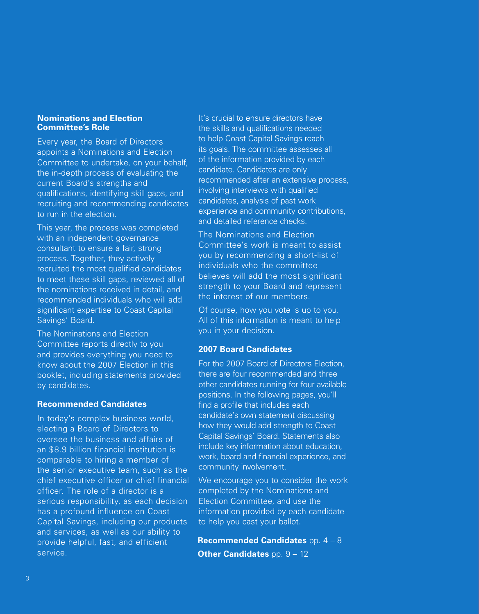#### **Nominations and Election Committee's Role**

Every year, the Board of Directors appoints a Nominations and Election Committee to undertake, on your behalf, the in-depth process of evaluating the current Board's strengths and qualifications, identifying skill gaps, and recruiting and recommending candidates to run in the election.

This year, the process was completed with an independent governance consultant to ensure a fair, strong process. Together, they actively recruited the most qualified candidates to meet these skill gaps, reviewed all of the nominations received in detail, and recommended individuals who will add significant expertise to Coast Capital Savings' Board.

The Nominations and Election Committee reports directly to you and provides everything you need to know about the 2007 Election in this booklet, including statements provided by candidates.

#### **Recommended Candidates**

In today's complex business world, electing a Board of Directors to oversee the business and affairs of an \$8.9 billion financial institution is comparable to hiring a member of the senior executive team, such as the chief executive officer or chief financial officer. The role of a director is a serious responsibility, as each decision has a profound influence on Coast Capital Savings, including our products and services, as well as our ability to provide helpful, fast, and efficient service.

It's crucial to ensure directors have the skills and qualifications needed to help Coast Capital Savings reach its goals. The committee assesses all of the information provided by each candidate. Candidates are only recommended after an extensive process, involving interviews with qualified candidates, analysis of past work experience and community contributions, and detailed reference checks.

The Nominations and Election Committee's work is meant to assist you by recommending a short-list of individuals who the committee believes will add the most significant strength to your Board and represent the interest of our members.

Of course, how you vote is up to you. All of this information is meant to help you in your decision.

#### **2007 Board Candidates**

For the 2007 Board of Directors Election, there are four recommended and three other candidates running for four available positions. In the following pages, you'll find a profile that includes each candidate's own statement discussing how they would add strength to Coast Capital Savings' Board. Statements also include key information about education, work, board and financial experience, and community involvement.

We encourage you to consider the work completed by the Nominations and Election Committee, and use the information provided by each candidate to help you cast your ballot.

**Recommended Candidates** pp. 4 – 8 **Other Candidates** pp. 9 - 12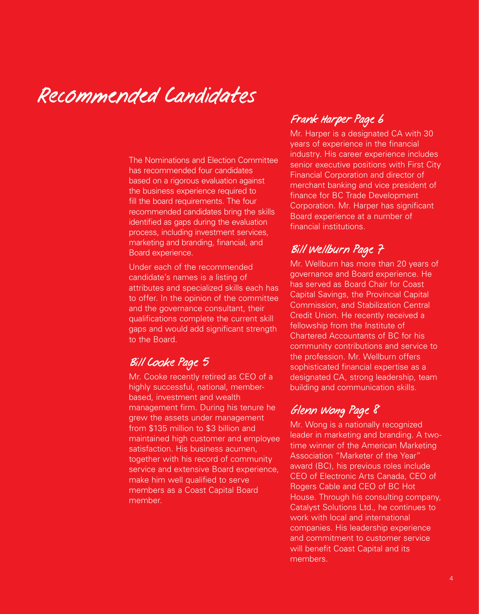## Recommended Candidates

The Nominations and Election Committee has recommended four candidates based on a rigorous evaluation against the business experience required to fill the board requirements. The four recommended candidates bring the skills identified as gaps during the evaluation process, including investment services, marketing and branding, financial, and Board experience.

Under each of the recommended candidate's names is a listing of attributes and specialized skills each has to offer. In the opinion of the committee and the governance consultant, their qualifications complete the current skill gaps and would add significant strength to the Board.

### Bill Cooke Page 5

Mr. Cooke recently retired as CEO of a highly successful, national, memberbased, investment and wealth management firm. During his tenure he grew the assets under management from \$135 million to \$3 billion and maintained high customer and employee satisfaction. His business acumen, together with his record of community service and extensive Board experience, make him well qualified to serve members as a Coast Capital Board member.

## Frank Harper Page 6

Mr. Harper is a designated CA with 30 years of experience in the financial industry. His career experience includes senior executive positions with First City Financial Corporation and director of merchant banking and vice president of finance for BC Trade Development Corporation. Mr. Harper has significant Board experience at a number of financial institutions.

## Bill Wellburn Page 7

Mr. Wellburn has more than 20 years of governance and Board experience. He has served as Board Chair for Coast Capital Savings, the Provincial Capital Commission, and Stabilization Central Credit Union. He recently received a fellowship from the Institute of Chartered Accountants of BC for his community contributions and service to the profession. Mr. Wellburn offers sophisticated financial expertise as a designated CA, strong leadership, team building and communication skills.

## Glenn Wong Page 8

Mr. Wong is a nationally recognized leader in marketing and branding. A twotime winner of the American Marketing Association "Marketer of the Year" award (BC), his previous roles include CEO of Electronic Arts Canada, CEO of Rogers Cable and CEO of BC Hot House. Through his consulting company, Catalyst Solutions Ltd., he continues to work with local and international companies. His leadership experience and commitment to customer service will benefit Coast Capital and its members.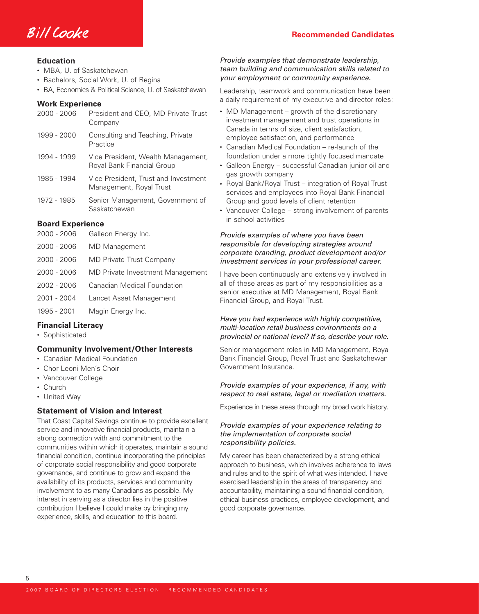

- MBA, U. of Saskatchewan
- Bachelors, Social Work, U. of Regina
- BA, Economics & Political Science, U. of Saskatchewan

#### **Work Experience**

| 2000 - 2006             | President and CEO, MD Private Trust<br>Company                   |
|-------------------------|------------------------------------------------------------------|
| 1999 - 2000             | Consulting and Teaching, Private<br>Practice                     |
| 1994 - 1999             | Vice President, Wealth Management,<br>Royal Bank Financial Group |
| 1985 - 1994             | Vice President, Trust and Investment<br>Management, Royal Trust  |
| 1972 - 1985             | Senior Management, Government of<br>Saskatchewan                 |
| <b>Board Experience</b> |                                                                  |
| 2000 - 2006             | Galleon Energy Inc.                                              |
| 2000 - 2006             | MD Management                                                    |
| 2000 - 2006             | <b>MD Private Trust Company</b>                                  |
|                         |                                                                  |

- 2000 2006 MD Private Investment Management
- 2002 2006 Canadian Medical Foundation
- 2001 2004 Lancet Asset Management
- 1995 2001 Magin Energy Inc.

#### **Financial Literacy**

• Sophisticated

#### **Community Involvement/Other Interests**

- Canadian Medical Foundation
- Chor Leoni Men's Choir
- Vancouver College
- Church

5

• United Way

#### **Statement of Vision and Interest**

That Coast Capital Savings continue to provide excellent service and innovative financial products, maintain a strong connection with and commitment to the communities within which it operates, maintain a sound financial condition, continue incorporating the principles of corporate social responsibility and good corporate governance, and continue to grow and expand the availability of its products, services and community involvement to as many Canadians as possible. My interest in serving as a director lies in the positive contribution I believe I could make by bringing my experience, skills, and education to this board.

#### Provide examples that demonstrate leadership, team building and communication skills related to your employment or community experience.

Leadership, teamwork and communication have been a daily requirement of my executive and director roles:

- MD Management growth of the discretionary investment management and trust operations in Canada in terms of size, client satisfaction, employee satisfaction, and performance
- Canadian Medical Foundation re-launch of the foundation under a more tightly focused mandate
- Galleon Energy successful Canadian junior oil and gas growth company
- Royal Bank/Royal Trust integration of Royal Trust services and employees into Royal Bank Financial Group and good levels of client retention
- Vancouver College strong involvement of parents in school activities

#### Provide examples of where you have been responsible for developing strategies around corporate branding, product development and/or investment services in your professional career.

I have been continuously and extensively involved in all of these areas as part of my responsibilities as a senior executive at MD Management, Royal Bank Financial Group, and Royal Trust.

#### Have you had experience with highly competitive, multi-location retail business environments on a provincial or national level? If so, describe your role.

Senior management roles in MD Management, Royal Bank Financial Group, Royal Trust and Saskatchewan Government Insurance.

#### Provide examples of your experience, if any, with respect to real estate, legal or mediation matters.

Experience in these areas through my broad work history.

#### Provide examples of your experience relating to the implementation of corporate social responsibility policies.

My career has been characterized by a strong ethical approach to business, which involves adherence to laws and rules and to the spirit of what was intended. I have exercised leadership in the areas of transparency and accountability, maintaining a sound financial condition, ethical business practices, employee development, and good corporate governance.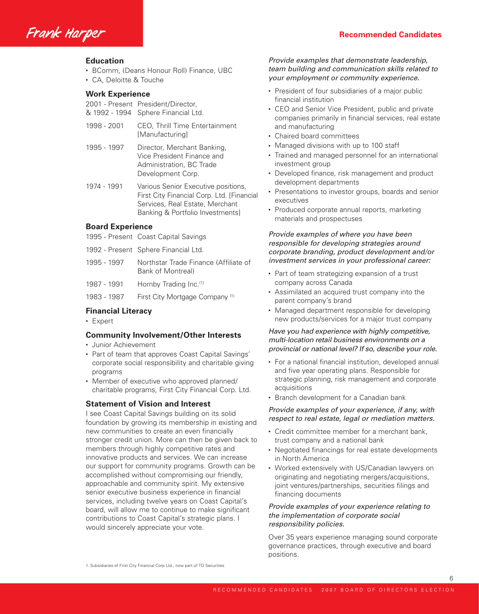Frank Harper **Recommended Candidates** 

- BComm, (Deans Honour Roll) Finance, UBC
- CA, Deloitte & Touche

#### **Work Experience**

| 2001 - Present President/Director,  |  |  |
|-------------------------------------|--|--|
| & 1992 - 1994 Sphere Financial Ltd. |  |  |

- 1998 2001 CEO, Thrill Time Entertainment [Manufacturing]
- 1995 1997 Director, Merchant Banking, Vice President Finance and Administration, BC Trade Development Corp.
- 1974 1991 Various Senior Executive positions, First City Financial Corp. Ltd. [Financial Services, Real Estate, Merchant Banking & Portfolio Investments]

#### **Board Experience**

- 1995 Present Coast Capital Savings
- 1992 Present Sphere Financial Ltd.
- 1995 1997 Northstar Trade Finance (Affiliate of Bank of Montreal)
- 1987 1991 Hornby Trading Inc.(1)
- 1983 1987 First City Mortgage Company<sup>(1)</sup>

#### **Financial Literacy**

• Expert

#### **Community Involvement/Other Interests**

- Junior Achievement
- Part of team that approves Coast Capital Savings' corporate social responsibility and charitable giving programs
- Member of executive who approved planned/ charitable programs, First City Financial Corp. Ltd.

#### **Statement of Vision and Interest**

I see Coast Capital Savings building on its solid foundation by growing its membership in existing and new communities to create an even financially stronger credit union. More can then be given back to members through highly competitive rates and innovative products and services. We can increase our support for community programs. Growth can be accomplished without compromising our friendly, approachable and community spirit. My extensive senior executive business experience in financial services, including twelve years on Coast Capital's board, will allow me to continue to make significant contributions to Coast Capital's strategic plans. I would sincerely appreciate your vote.

#### Provide examples that demonstrate leadership, team building and communication skills related to your employment or community experience.

- President of four subsidiaries of a major public financial institution
- CEO and Senior Vice President, public and private companies primarily in financial services, real estate and manufacturing
- Chaired board committees
- Managed divisions with up to 100 staff
- Trained and managed personnel for an international investment group
- Developed finance, risk management and product development departments
- Presentations to investor groups, boards and senior executives
- Produced corporate annual reports, marketing materials and prospectuses

#### Provide examples of where you have been responsible for developing strategies around corporate branding, product development and/or investment services in your professional career:

- Part of team strategizing expansion of a trust company across Canada
- Assimilated an acquired trust company into the parent company's brand
- Managed department responsible for developing new products/services for a major trust company

#### Have you had experience with highly competitive, multi-location retail business environments on a provincial or national level? If so, describe your role.

- For a national financial institution, developed annual and five year operating plans. Responsible for strategic planning, risk management and corporate acquisitions
- Branch development for a Canadian bank

#### Provide examples of your experience, if any, with respect to real estate, legal or mediation matters.

- Credit committee member for a merchant bank, trust company and a national bank
- Negotiated financings for real estate developments in North America
- Worked extensively with US/Canadian lawyers on originating and negotiating mergers/acquisitions, joint ventures/partnerships, securities filings and financing documents

#### Provide examples of your experience relating to the implementation of corporate social responsibility policies.

Over 35 years experience managing sound corporate governance practices, through executive and board positions.

1. Subsidiaries of First City Financial Corp Ltd., now part of TD Securities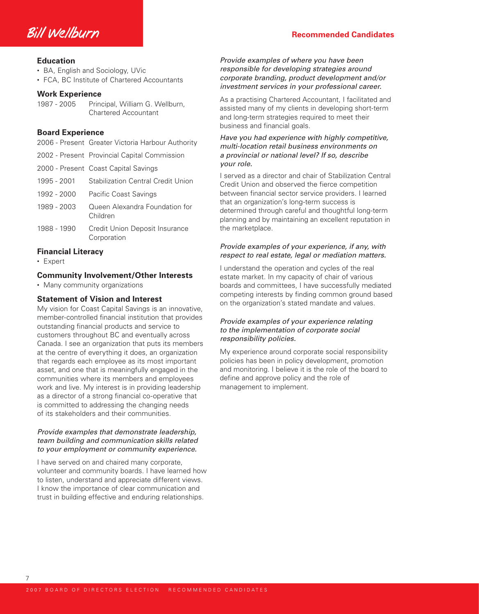

- BA, English and Sociology, UVic
- FCA, BC Institute of Chartered Accountants

#### **Work Experience**

| 1987 - 2005 | Principal, William G. Wellburn, |
|-------------|---------------------------------|
|             | <b>Chartered Accountant</b>     |

#### **Board Experience**

| 2006 - Present Greater Victoria Harbour Authority |  |  |  |
|---------------------------------------------------|--|--|--|
|---------------------------------------------------|--|--|--|

- 2002 Present Provincial Capital Commission
- 2000 Present Coast Capital Savings
- 1995 2001 Stabilization Central Credit Union
- 1992 2000 Pacific Coast Savings
- 1989 2003 Queen Alexandra Foundation for Children
- 1988 1990 Credit Union Deposit Insurance Corporation

#### **Financial Literacy**

• Expert

#### **Community Involvement/Other Interests**

• Many community organizations

#### **Statement of Vision and Interest**

My vision for Coast Capital Savings is an innovative, member-controlled financial institution that provides outstanding financial products and service to customers throughout BC and eventually across Canada. I see an organization that puts its members at the centre of everything it does, an organization that regards each employee as its most important asset, and one that is meaningfully engaged in the communities where its members and employees work and live. My interest is in providing leadership as a director of a strong financial co-operative that is committed to addressing the changing needs of its stakeholders and their communities.

#### Provide examples that demonstrate leadership, team building and communication skills related to your employment or community experience.

I have served on and chaired many corporate, volunteer and community boards. I have learned how to listen, understand and appreciate different views. I know the importance of clear communication and trust in building effective and enduring relationships.

Provide examples of where you have been responsible for developing strategies around corporate branding, product development and/or investment services in your professional career.

As a practising Chartered Accountant, I facilitated and assisted many of my clients in developing short-term and long-term strategies required to meet their business and financial goals.

#### Have you had experience with highly competitive, multi-location retail business environments on a provincial or national level? If so, describe your role.

I served as a director and chair of Stabilization Central Credit Union and observed the fierce competition between financial sector service providers. I learned that an organization's long-term success is determined through careful and thoughtful long-term planning and by maintaining an excellent reputation in the marketplace.

#### Provide examples of your experience, if any, with respect to real estate, legal or mediation matters.

I understand the operation and cycles of the real estate market. In my capacity of chair of various boards and committees, I have successfully mediated competing interests by finding common ground based on the organization's stated mandate and values.

#### Provide examples of your experience relating to the implementation of corporate social responsibility policies.

My experience around corporate social responsibility policies has been in policy development, promotion and monitoring. I believe it is the role of the board to define and approve policy and the role of management to implement.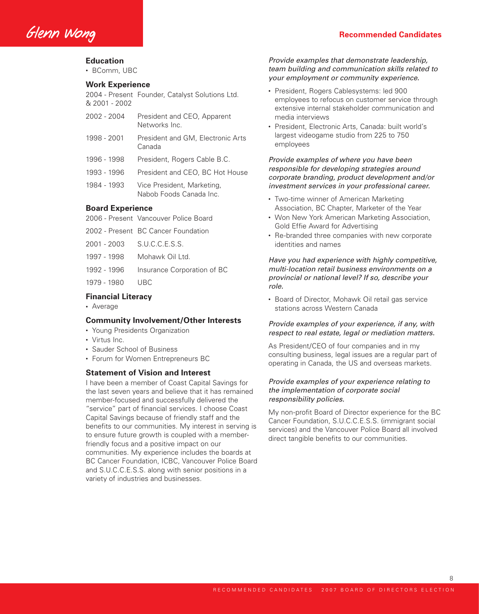• BComm, UBC

#### **Work Experience**

2004 - Present Founder, Catalyst Solutions Ltd. & 2001 - 2002

- 2002 2004 President and CEO, Apparent Networks Inc.
- 1998 2001 President and GM, Electronic Arts Canada
- 1996 1998 President, Rogers Cable B.C.
- 1993 1996 President and CEO, BC Hot House
- 1984 1993 Vice President, Marketing, Nabob Foods Canada Inc.

#### **Board Experience**

- 2006 Present Vancouver Police Board
- 2002 Present BC Cancer Foundation
- 2001 2003 S.U.C.C.E.S.S.
- 1997 1998 Mohawk Oil Ltd.
- 1992 1996 Insurance Corporation of BC
- 1979 1980 UBC

#### **Financial Literacy**

• Average

#### **Community Involvement/Other Interests**

- Young Presidents Organization
- Virtus Inc.
- Sauder School of Business
- Forum for Women Entrepreneurs BC

#### **Statement of Vision and Interest**

I have been a member of Coast Capital Savings for the last seven years and believe that it has remained member-focused and successfully delivered the "service" part of financial services. I choose Coast Capital Savings because of friendly staff and the benefits to our communities. My interest in serving is to ensure future growth is coupled with a memberfriendly focus and a positive impact on our communities. My experience includes the boards at BC Cancer Foundation, ICBC, Vancouver Police Board and S.U.C.C.E.S.S. along with senior positions in a variety of industries and businesses.

#### Provide examples that demonstrate leadership, team building and communication skills related to your employment or community experience.

- President, Rogers Cablesystems: led 900 employees to refocus on customer service through extensive internal stakeholder communication and media interviews
- President, Electronic Arts, Canada: built world's largest videogame studio from 225 to 750 employees

Provide examples of where you have been responsible for developing strategies around corporate branding, product development and/or investment services in your professional career.

- Two-time winner of American Marketing Association, BC Chapter, Marketer of the Year
- Won New York American Marketing Association, Gold Effie Award for Advertising
- Re-branded three companies with new corporate identities and names

Have you had experience with highly competitive, multi-location retail business environments on a provincial or national level? If so, describe your role.

• Board of Director, Mohawk Oil retail gas service stations across Western Canada

#### Provide examples of your experience, if any, with respect to real estate, legal or mediation matters.

As President/CEO of four companies and in my consulting business, legal issues are a regular part of operating in Canada, the US and overseas markets.

#### Provide examples of your experience relating to the implementation of corporate social responsibility policies.

My non-profit Board of Director experience for the BC Cancer Foundation, S.U.C.C.E.S.S. (immigrant social services) and the Vancouver Police Board all involved direct tangible benefits to our communities.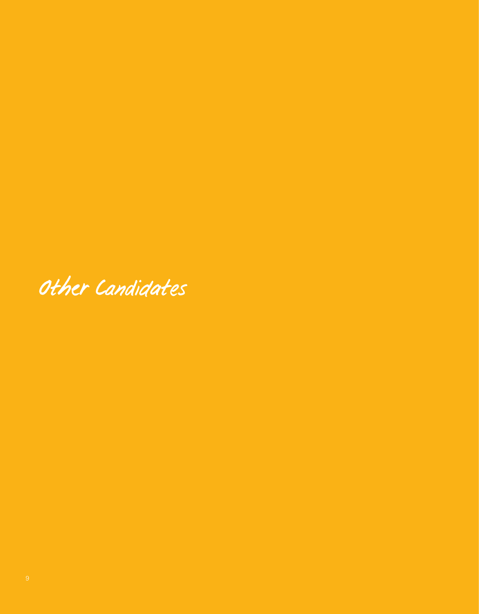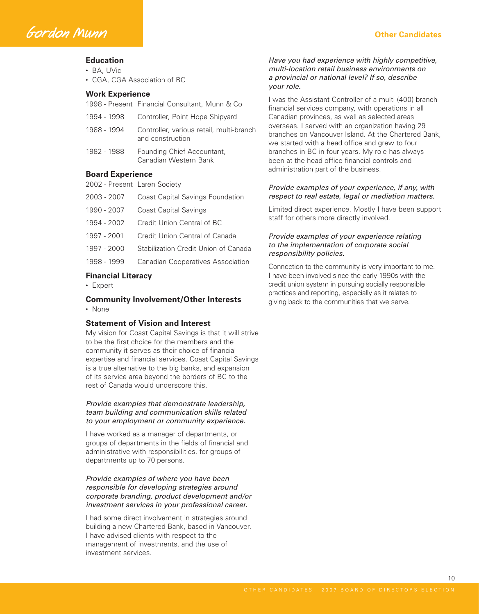- BA, UVic
- CGA, CGA Association of BC

#### **Work Experience**

1998 - Present Financial Consultant, Munn & Co

- 1994 1998 Controller, Point Hope Shipyard
- 1988 1994 Controller, various retail, multi-branch and construction
- 1982 1988 Founding Chief Accountant, Canadian Western Bank

#### **Board Experience**

- 2002 Present Laren Society
- 2003 2007 Coast Capital Savings Foundation
- 1990 2007 Coast Capital Savings
- 1994 2002 Credit Union Central of BC
- 1997 2001 Credit Union Central of Canada
- 1997 2000 Stabilization Credit Union of Canada
- 1998 1999 Canadian Cooperatives Association

#### **Financial Literacy**

• Expert

#### **Community Involvement/Other Interests**

• None

#### **Statement of Vision and Interest**

My vision for Coast Capital Savings is that it will strive to be the first choice for the members and the community it serves as their choice of financial expertise and financial services. Coast Capital Savings is a true alternative to the big banks, and expansion of its service area beyond the borders of BC to the rest of Canada would underscore this.

#### Provide examples that demonstrate leadership, team building and communication skills related to your employment or community experience.

I have worked as a manager of departments, or groups of departments in the fields of financial and administrative with responsibilities, for groups of departments up to 70 persons.

#### Provide examples of where you have been responsible for developing strategies around corporate branding, product development and/or investment services in your professional career.

I had some direct involvement in strategies around building a new Chartered Bank, based in Vancouver. I have advised clients with respect to the management of investments, and the use of investment services.

#### Have you had experience with highly competitive, multi-location retail business environments on a provincial or national level? If so, describe your role.

I was the Assistant Controller of a multi (400) branch financial services company, with operations in all Canadian provinces, as well as selected areas overseas. I served with an organization having 29 branches on Vancouver Island. At the Chartered Bank, we started with a head office and grew to four branches in BC in four years. My role has always been at the head office financial controls and administration part of the business.

#### Provide examples of your experience, if any, with respect to real estate, legal or mediation matters.

Limited direct experience. Mostly I have been support staff for others more directly involved.

#### Provide examples of your experience relating to the implementation of corporate social responsibility policies.

Connection to the community is very important to me. I have been involved since the early 1990s with the credit union system in pursuing socially responsible practices and reporting, especially as it relates to giving back to the communities that we serve.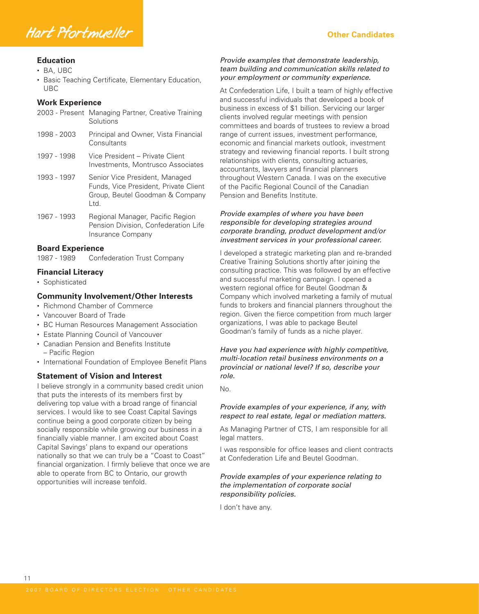

- BA, UBC
- Basic Teaching Certificate, Elementary Education, UBC

#### **Work Experience**

| 2003 - Present | Managing Partner, Creative Training<br>Solutions                                                                   |
|----------------|--------------------------------------------------------------------------------------------------------------------|
| 1998 - 2003    | Principal and Owner, Vista Financial<br>Consultants                                                                |
| 1997 - 1998    | Vice President – Private Client<br>Investments, Montrusco Associates                                               |
| 1993 - 1997    | Senior Vice President, Managed<br>Funds, Vice President, Private Client<br>Group, Beutel Goodman & Company<br>Ltd. |
| 1967 - 1993    | Regional Manager, Pacific Region<br>Pension Division, Confederation Life<br>Insurance Company                      |

#### **Board Experience**

1987 - 1989 Confederation Trust Company

#### **Financial Literacy**

• Sophisticated

11

#### **Community Involvement/Other Interests**

- Richmond Chamber of Commerce
- Vancouver Board of Trade
- BC Human Resources Management Association
- Estate Planning Council of Vancouver
- Canadian Pension and Benefits Institute – Pacific Region
- International Foundation of Employee Benefit Plans

#### **Statement of Vision and Interest**

I believe strongly in a community based credit union that puts the interests of its members first by delivering top value with a broad range of financial services. I would like to see Coast Capital Savings continue being a good corporate citizen by being socially responsible while growing our business in a financially viable manner. I am excited about Coast Capital Savings' plans to expand our operations nationally so that we can truly be a "Coast to Coast" financial organization. I firmly believe that once we are able to operate from BC to Ontario, our growth opportunities will increase tenfold.

#### Provide examples that demonstrate leadership, team building and communication skills related to your employment or community experience.

At Confederation Life, I built a team of highly effective and successful individuals that developed a book of business in excess of \$1 billion. Servicing our larger clients involved regular meetings with pension committees and boards of trustees to review a broad range of current issues, investment performance, economic and financial markets outlook, investment strategy and reviewing financial reports. I built strong relationships with clients, consulting actuaries, accountants, lawyers and financial planners throughout Western Canada. I was on the executive of the Pacific Regional Council of the Canadian Pension and Benefits Institute.

#### Provide examples of where you have been responsible for developing strategies around corporate branding, product development and/or investment services in your professional career.

I developed a strategic marketing plan and re-branded Creative Training Solutions shortly after joining the consulting practice. This was followed by an effective and successful marketing campaign. I opened a western regional office for Beutel Goodman & Company which involved marketing a family of mutual funds to brokers and financial planners throughout the region. Given the fierce competition from much larger organizations, I was able to package Beutel Goodman's family of funds as a niche player.

Have you had experience with highly competitive, multi-location retail business environments on a provincial or national level? If so, describe your role.

No.

#### Provide examples of your experience, if any, with respect to real estate, legal or mediation matters.

As Managing Partner of CTS, I am responsible for all legal matters.

I was responsible for office leases and client contracts at Confederation Life and Beutel Goodman.

#### Provide examples of your experience relating to the implementation of corporate social responsibility policies.

I don't have any.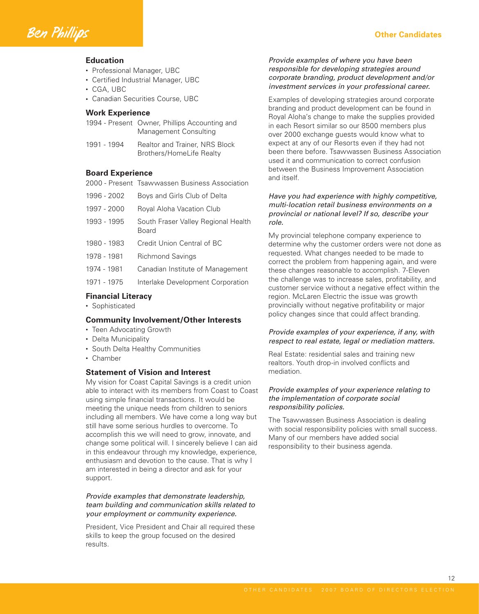

- Professional Manager, UBC
- Certified Industrial Manager, UBC
- CGA, UBC
- Canadian Securities Course, UBC

#### **Work Experience**

- 1994 Present Owner, Phillips Accounting and Management Consulting
- 1991 1994 Realtor and Trainer, NRS Block Brothers/HomeLife Realty

#### **Board Experience**

- 2000 Present Tsawwassen Business Association
- 1996 2002 Boys and Girls Club of Delta 1997 - 2000 Royal Aloha Vacation Club 1993 - 1995 South Fraser Valley Regional Health Board 1980 - 1983 Credit Union Central of BC 1978 - 1981 Richmond Savings 1974 - 1981 Canadian Institute of Management 1971 - 1975 Interlake Development Corporation

#### **Financial Literacy**

• Sophisticated

#### **Community Involvement/Other Interests**

- Teen Advocating Growth
- Delta Municipality
- South Delta Healthy Communities
- Chamber

#### **Statement of Vision and Interest**

My vision for Coast Capital Savings is a credit union able to interact with its members from Coast to Coast using simple financial transactions. It would be meeting the unique needs from children to seniors including all members. We have come a long way but still have some serious hurdles to overcome. To accomplish this we will need to grow, innovate, and change some political will. I sincerely believe I can aid in this endeavour through my knowledge, experience, enthusiasm and devotion to the cause. That is why I am interested in being a director and ask for your support.

#### Provide examples that demonstrate leadership, team building and communication skills related to your employment or community experience.

President, Vice President and Chair all required these skills to keep the group focused on the desired results.

#### Provide examples of where you have been responsible for developing strategies around corporate branding, product development and/or investment services in your professional career.

Examples of developing strategies around corporate branding and product development can be found in Royal Aloha's change to make the supplies provided in each Resort similar so our 8500 members plus over 2000 exchange guests would know what to expect at any of our Resorts even if they had not been there before. Tsawwassen Business Association used it and communication to correct confusion between the Business Improvement Association and itself.

#### Have you had experience with highly competitive, multi-location retail business environments on a provincial or national level? If so, describe your role.

My provincial telephone company experience to determine why the customer orders were not done as requested. What changes needed to be made to correct the problem from happening again, and were these changes reasonable to accomplish. 7-Eleven the challenge was to increase sales, profitability, and customer service without a negative effect within the region. McLaren Electric the issue was growth provincially without negative profitability or major policy changes since that could affect branding.

#### Provide examples of your experience, if any, with respect to real estate, legal or mediation matters.

Real Estate: residential sales and training new realtors. Youth drop-in involved conflicts and mediation.

#### Provide examples of your experience relating to the implementation of corporate social responsibility policies.

The Tsawwassen Business Association is dealing with social responsibility policies with small success. Many of our members have added social responsibility to their business agenda.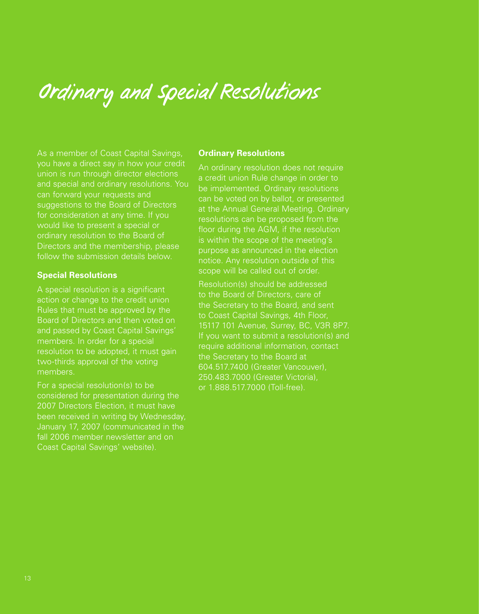# Ordinary and Special Resolutions

As a member of Coast Capital Savings, you have a direct say in how your credit union is run through director elections and special and ordinary resolutions. You can forward your requests and suggestions to the Board of Directors for consideration at any time. If you would like to present a special or ordinary resolution to the Board of Directors and the membership, please follow the submission details below.

#### **Special Resolutions**

A special resolution is a significant action or change to the credit union Rules that must be approved by the Board of Directors and then voted on and passed by Coast Capital Savings' members. In order for a special resolution to be adopted, it must gain two-thirds approval of the voting members.

For a special resolution(s) to be considered for presentation during the 2007 Directors Election, it must have been received in writing by Wednesday, January 17, 2007 (communicated in the fall 2006 member newsletter and on Coast Capital Savings' website).

#### **Ordinary Resolutions**

An ordinary resolution does not require a credit union Rule change in order to be implemented. Ordinary resolutions can be voted on by ballot, or presented at the Annual General Meeting. Ordinary resolutions can be proposed from the floor during the AGM, if the resolution is within the scope of the meeting's purpose as announced in the election notice. Any resolution outside of this scope will be called out of order.

Resolution(s) should be addressed to the Board of Directors, care of the Secretary to the Board, and sent to Coast Capital Savings, 4th Floor, 15117 101 Avenue, Surrey, BC, V3R 8P7. If you want to submit a resolution(s) and require additional information, contact the Secretary to the Board at 604.517.7400 (Greater Vancouver), 250.483.7000 (Greater Victoria), or 1.888.517.7000 (Toll-free).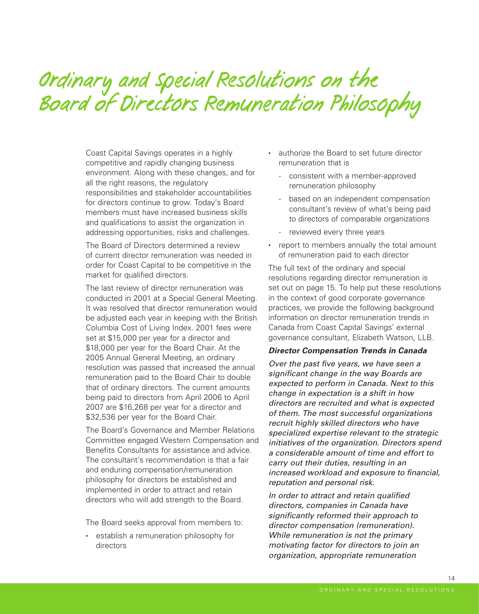# Ordinary and Special Resolutions on the Board of Directors Remuneration Philosophy

Coast Capital Savings operates in a highly competitive and rapidly changing business environment. Along with these changes, and for all the right reasons, the regulatory responsibilities and stakeholder accountabilities for directors continue to grow. Today's Board members must have increased business skills and qualifications to assist the organization in addressing opportunities, risks and challenges.

The Board of Directors determined a review of current director remuneration was needed in order for Coast Capital to be competitive in the market for qualified directors.

The last review of director remuneration was conducted in 2001 at a Special General Meeting. It was resolved that director remuneration would be adjusted each year in keeping with the British Columbia Cost of Living Index. 2001 fees were set at \$15,000 per year for a director and \$18,000 per year for the Board Chair. At the 2005 Annual General Meeting, an ordinary resolution was passed that increased the annual remuneration paid to the Board Chair to double that of ordinary directors. The current amounts being paid to directors from April 2006 to April 2007 are \$16,268 per year for a director and \$32,536 per year for the Board Chair.

The Board's Governance and Member Relations Committee engaged Western Compensation and Benefits Consultants for assistance and advice. The consultant's recommendation is that a fair and enduring compensation/remuneration philosophy for directors be established and implemented in order to attract and retain directors who will add strength to the Board.

The Board seeks approval from members to:

• establish a remuneration philosophy for directors

- authorize the Board to set future director remuneration that is
	- consistent with a member-approved remuneration philosophy
	- based on an independent compensation consultant's review of what's being paid to directors of comparable organizations
	- reviewed every three years
- report to members annually the total amount of remuneration paid to each director

The full text of the ordinary and special resolutions regarding director remuneration is set out on page 15. To help put these resolutions in the context of good corporate governance practices, we provide the following background information on director remuneration trends in Canada from Coast Capital Savings' external governance consultant, Elizabeth Watson, LLB.

#### **Director Compensation Trends in Canada**

Over the past five years, we have seen a significant change in the way Boards are expected to perform in Canada. Next to this change in expectation is a shift in how directors are recruited and what is expected of them. The most successful organizations recruit highly skilled directors who have specialized expertise relevant to the strategic initiatives of the organization. Directors spend a considerable amount of time and effort to carry out their duties, resulting in an increased workload and exposure to financial, reputation and personal risk.

In order to attract and retain qualified directors, companies in Canada have significantly reformed their approach to director compensation (remuneration). While remuneration is not the primary motivating factor for directors to join an organization, appropriate remuneration

14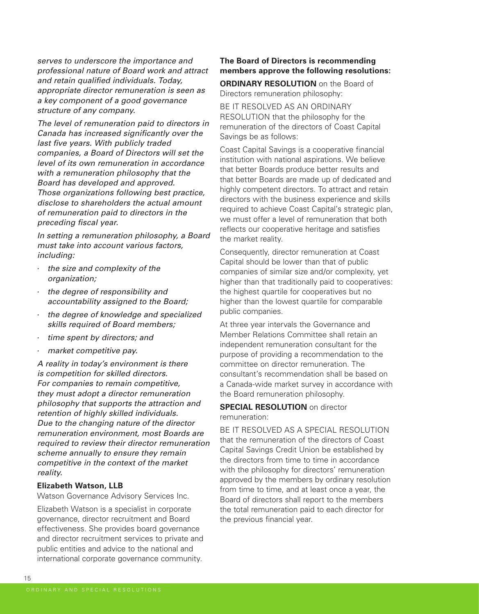serves to underscore the importance and professional nature of Board work and attract and retain qualified individuals. Today, appropriate director remuneration is seen as a key component of a good governance structure of any company.

The level of remuneration paid to directors in Canada has increased significantly over the last five years. With publicly traded companies, a Board of Directors will set the level of its own remuneration in accordance with a remuneration philosophy that the Board has developed and approved. Those organizations following best practice, disclose to shareholders the actual amount of remuneration paid to directors in the preceding fiscal year.

In setting a remuneration philosophy, a Board must take into account various factors, including:

- the size and complexity of the organization;
- the degree of responsibility and accountability assigned to the Board;
- the degree of knowledge and specialized skills required of Board members;
- time spent by directors; and
- market competitive pay.

A reality in today's environment is there is competition for skilled directors. For companies to remain competitive, they must adopt a director remuneration philosophy that supports the attraction and retention of highly skilled individuals. Due to the changing nature of the director remuneration environment, most Boards are required to review their director remuneration scheme annually to ensure they remain competitive in the context of the market reality.

#### **Elizabeth Watson, LLB**

Watson Governance Advisory Services Inc.

Elizabeth Watson is a specialist in corporate governance, director recruitment and Board effectiveness. She provides board governance and director recruitment services to private and public entities and advice to the national and international corporate governance community.

#### **The Board of Directors is recommending members approve the following resolutions:**

**ORDINARY RESOLUTION** on the Board of Directors remuneration philosophy:

BE IT RESOLVED AS AN ORDINARY RESOLUTION that the philosophy for the remuneration of the directors of Coast Capital Savings be as follows:

Coast Capital Savings is a cooperative financial institution with national aspirations. We believe that better Boards produce better results and that better Boards are made up of dedicated and highly competent directors. To attract and retain directors with the business experience and skills required to achieve Coast Capital's strategic plan, we must offer a level of remuneration that both reflects our cooperative heritage and satisfies the market reality.

Consequently, director remuneration at Coast Capital should be lower than that of public companies of similar size and/or complexity, yet higher than that traditionally paid to cooperatives: the highest quartile for cooperatives but no higher than the lowest quartile for comparable public companies.

At three year intervals the Governance and Member Relations Committee shall retain an independent remuneration consultant for the purpose of providing a recommendation to the committee on director remuneration. The consultant's recommendation shall be based on a Canada-wide market survey in accordance with the Board remuneration philosophy.

#### **SPECIAL RESOLUTION** on director remuneration:

BE IT RESOLVED AS A SPECIAL RESOLUTION that the remuneration of the directors of Coast Capital Savings Credit Union be established by the directors from time to time in accordance with the philosophy for directors' remuneration approved by the members by ordinary resolution from time to time, and at least once a year, the Board of directors shall report to the members the total remuneration paid to each director for the previous financial year.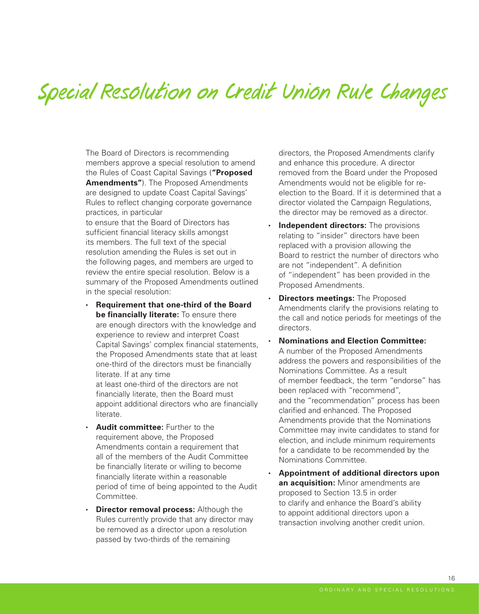# Special Resolution on Credit Union Rule Changes

The Board of Directors is recommending members approve a special resolution to amend the Rules of Coast Capital Savings (**"Proposed Amendments"**). The Proposed Amendments are designed to update Coast Capital Savings' Rules to reflect changing corporate governance practices, in particular

to ensure that the Board of Directors has sufficient financial literacy skills amongst its members. The full text of the special resolution amending the Rules is set out in the following pages, and members are urged to review the entire special resolution. Below is a summary of the Proposed Amendments outlined in the special resolution:

- **Requirement that one-third of the Board be financially literate:** To ensure there are enough directors with the knowledge and experience to review and interpret Coast Capital Savings' complex financial statements, the Proposed Amendments state that at least one-third of the directors must be financially literate. If at any time at least one-third of the directors are not financially literate, then the Board must appoint additional directors who are financially literate.
- **Audit committee:** Further to the requirement above, the Proposed Amendments contain a requirement that all of the members of the Audit Committee be financially literate or willing to become financially literate within a reasonable period of time of being appointed to the Audit Committee.
- **Director removal process:** Although the Rules currently provide that any director may be removed as a director upon a resolution passed by two-thirds of the remaining

directors, the Proposed Amendments clarify and enhance this procedure. A director removed from the Board under the Proposed Amendments would not be eligible for reelection to the Board. If it is determined that a director violated the Campaign Regulations. the director may be removed as a director.

- **Independent directors:** The provisions relating to "insider" directors have been replaced with a provision allowing the Board to restrict the number of directors who are not "independent". A definition of "independent" has been provided in the Proposed Amendments.
- **Directors meetings:** The Proposed Amendments clarify the provisions relating to the call and notice periods for meetings of the directors.
- **Nominations and Election Committee:** A number of the Proposed Amendments address the powers and responsibilities of the Nominations Committee. As a result of member feedback, the term "endorse" has been replaced with "recommend", and the "recommendation" process has been clarified and enhanced. The Proposed Amendments provide that the Nominations Committee may invite candidates to stand for election, and include minimum requirements for a candidate to be recommended by the Nominations Committee.
- **Appointment of additional directors upon an acquisition:** Minor amendments are proposed to Section 13.5 in order to clarify and enhance the Board's ability to appoint additional directors upon a transaction involving another credit union.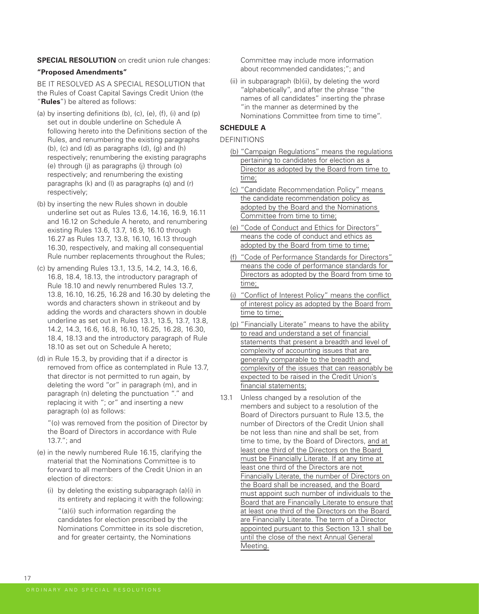**SPECIAL RESOLUTION** on credit union rule changes:

#### **"Proposed Amendments"**

BE IT RESOLVED AS A SPECIAL RESOLUTION that the Rules of Coast Capital Savings Credit Union (the "**Rules**") be altered as follows:

- (a) by inserting definitions (b), (c), (e), (f), (i) and (p) set out in double underline on Schedule A following hereto into the Definitions section of the Rules, and renumbering the existing paragraphs (b), (c) and (d) as paragraphs (d), (g) and (h) respectively; renumbering the existing paragraphs (e) through (j) as paragraphs (j) through (o) respectively; and renumbering the existing paragraphs (k) and (l) as paragraphs (q) and (r) respectively;
- (b) by inserting the new Rules shown in double underline set out as Rules 13.6, 14.16, 16.9, 16.11 and 16.12 on Schedule A hereto, and renumbering existing Rules 13.6, 13.7, 16.9, 16.10 through 16.27 as Rules 13.7, 13.8, 16.10, 16.13 through 16.30, respectively, and making all consequential Rule number replacements throughout the Rules;
- (c) by amending Rules 13.1, 13.5, 14.2, 14.3, 16.6, 16.8, 18.4, 18.13, the introductory paragraph of Rule 18.10 and newly renumbered Rules 13.7, 13.8, 16.10, 16.25, 16.28 and 16.30 by deleting the words and characters shown in strikeout and by adding the words and characters shown in double underline as set out in Rules 13.1, 13.5, 13.7, 13.8, 14.2, 14.3, 16.6, 16.8, 16.10, 16.25, 16.28, 16.30, 18.4, 18.13 and the introductory paragraph of Rule 18.10 as set out on Schedule A hereto;
- (d) in Rule 15.3, by providing that if a director is removed from office as contemplated in Rule 13.7, that director is not permitted to run again, by deleting the word "or" in paragraph (m), and in paragraph (n) deleting the punctuation "." and replacing it with "; or" and inserting a new paragraph (o) as follows:

 "(o) was removed from the position of Director by the Board of Directors in accordance with Rule 13.7."; and

- (e) in the newly numbered Rule 16.15, clarifying the material that the Nominations Committee is to forward to all members of the Credit Union in an election of directors:
	- (i) by deleting the existing subparagraph (a)(i) in its entirety and replacing it with the following:

 "(a)(i) such information regarding the candidates for election prescribed by the Nominations Committee in its sole discretion, and for greater certainty, the Nominations

Committee may include more information about recommended candidates;"; and

 (ii) in subparagraph (b)(ii), by deleting the word "alphabetically", and after the phrase "the names of all candidates" inserting the phrase "in the manner as determined by the Nominations Committee from time to time".

#### **SCHEDULE A**

#### DEFINITIONS

- (b) "Campaign Regulations" means the regulations pertaining to candidates for election as a Director as adopted by the Board from time to time;
- (c) "Candidate Recommendation Policy" means the candidate recommendation policy as adopted by the Board and the Nominations Committee from time to time;
- (e) "Code of Conduct and Ethics for Directors" means the code of conduct and ethics as adopted by the Board from time to time;
- (f) "Code of Performance Standards for Directors" means the code of performance standards for Directors as adopted by the Board from time to time;
- (i) "Conflict of Interest Policy" means the conflict of interest policy as adopted by the Board from time to time;
- (p) "Financially Literate" means to have the ability to read and understand a set of financial statements that present a breadth and level of complexity of accounting issues that are generally comparable to the breadth and complexity of the issues that can reasonably be expected to be raised in the Credit Union's financial statements;
- 13.1 Unless changed by a resolution of the members and subject to a resolution of the Board of Directors pursuant to Rule 13.5, the number of Directors of the Credit Union shall be not less than nine and shall be set, from time to time, by the Board of Directors, and at least one third of the Directors on the Board must be Financially Literate. If at any time at least one third of the Directors are not Financially Literate, the number of Directors on the Board shall be increased, and the Board must appoint such number of individuals to the Board that are Financially Literate to ensure that at least one third of the Directors on the Board are Financially Literate. The term of a Director appointed pursuant to this Section 13.1 shall be until the close of the next Annual General Meeting.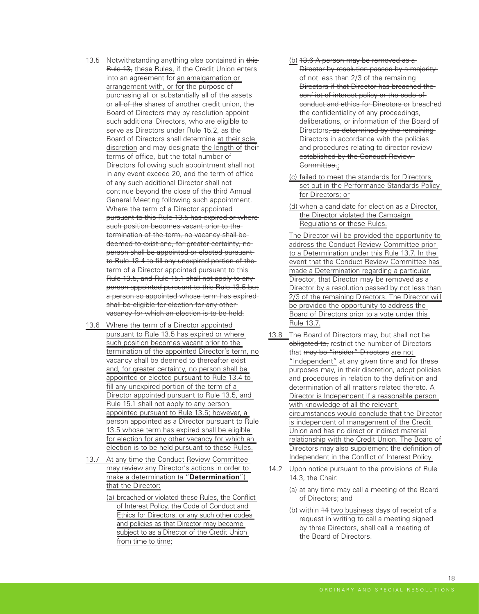- 13.5 Notwithstanding anything else contained in this Rule 13, these Rules, if the Credit Union enters into an agreement for an amalgamation or arrangement with, or for the purpose of purchasing all or substantially all of the assets or all of the shares of another credit union, the Board of Directors may by resolution appoint such additional Directors, who are eligible to serve as Directors under Rule 15.2, as the Board of Directors shall determine at their sole discretion and may designate the length of their terms of office, but the total number of Directors following such appointment shall not in any event exceed 20, and the term of office of any such additional Director shall not continue beyond the close of the third Annual General Meeting following such appointment. Where the term of a Director appointedpursuant to this Rule 13.5 has expired or where such position becomes vacant prior to thetermination of the term, no vacancy shall be deemed to exist and, for greater certainty, no person shall be appointed or elected pursuant to Rule 13.4 to fill any unexpired portion of the term of a Director appointed pursuant to this-Rule 13.5, and Rule 15.1 shall not apply to any person appointed pursuant to this Rule 13.5 but a person so appointed whose term has expired shall be eligible for election for any other vacancy for which an election is to be held.
- 13.6 Where the term of a Director appointed pursuant to Rule 13.5 has expired or where such position becomes vacant prior to the termination of the appointed Director's term, no vacancy shall be deemed to thereafter exist and, for greater certainty, no person shall be appointed or elected pursuant to Rule 13.4 to fill any unexpired portion of the term of a Director appointed pursuant to Rule 13.5, and Rule 15.1 shall not apply to any person appointed pursuant to Rule 13.5; however, a person appointed as a Director pursuant to Rule 13.5 whose term has expired shall be eligible for election for any other vacancy for which an election is to be held pursuant to these Rules.
- 13.7 At any time the Conduct Review Committee may review any Director's actions in order to make a determination (a "**Determination**") that the Director:
	- (a) breached or violated these Rules, the Conflict of Interest Policy, the Code of Conduct and Ethics for Directors, or any such other codes and policies as that Director may become subject to as a Director of the Credit Union from time to time;
- (b) 13.6 A person may be removed as a Director by resolution passed by a majorityof not less than 2/3 of the remaining Directors if that Director has breached the conflict of interest policy or the code of conduct and ethics for Directors or breached the confidentiality of any proceedings, deliberations, or information of the Board of Directors, as determined by the remaining Directors in accordance with the policies and procedures relating to director review established by the Conduct Review-Committee.;
- (c) failed to meet the standards for Directors set out in the Performance Standards Policy for Directors; or
- (d) when a candidate for election as a Director, the Director violated the Campaign Regulations or these Rules.

 The Director will be provided the opportunity to address the Conduct Review Committee prior to a Determination under this Rule 13.7. In the event that the Conduct Review Committee has made a Determination regarding a particular Director, that Director may be removed as a Director by a resolution passed by not less than 2/3 of the remaining Directors. The Director will be provided the opportunity to address the Board of Directors prior to a vote under this Rule 13.7.

- 13.8 The Board of Directors may, but shall not beobligated to, restrict the number of Directors that may be "insider" Directors are not "Independent" at any given time and for these purposes may, in their discretion, adopt policies and procedures in relation to the definition and determination of all matters related thereto. A Director is Independent if a reasonable person with knowledge of all the relevant circumstances would conclude that the Director is independent of management of the Credit Union and has no direct or indirect material relationship with the Credit Union. The Board of Directors may also supplement the definition of Independent in the Conflict of Interest Policy.
- 14.2 Upon notice pursuant to the provisions of Rule 14.3, the Chair:
	- (a) at any time may call a meeting of the Board of Directors; and
	- (b) within 14 two business days of receipt of a request in writing to call a meeting signed by three Directors, shall call a meeting of the Board of Directors.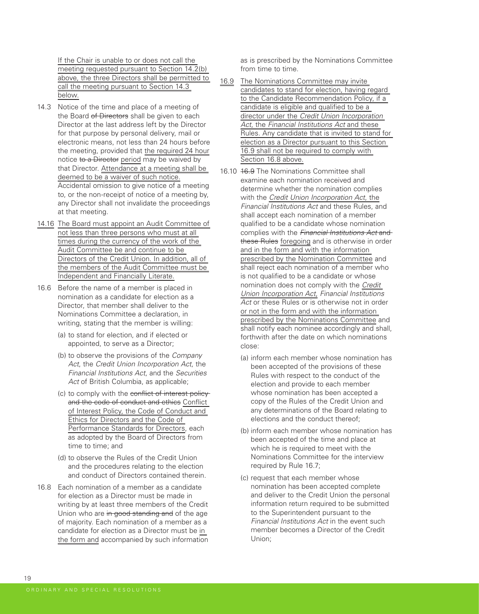If the Chair is unable to or does not call the meeting requested pursuant to Section 14.2(b) above, the three Directors shall be permitted to call the meeting pursuant to Section 14.3 below.

- 14.3 Notice of the time and place of a meeting of the Board of Directors shall be given to each Director at the last address left by the Director for that purpose by personal delivery, mail or electronic means, not less than 24 hours before the meeting, provided that the required 24 hour notice to a Director period may be waived by that Director. Attendance at a meeting shall be deemed to be a waiver of such notice. Accidental omission to give notice of a meeting to, or the non-receipt of notice of a meeting by, any Director shall not invalidate the proceedings at that meeting.
- 14.16 The Board must appoint an Audit Committee of not less than three persons who must at all times during the currency of the work of the Audit Committee be and continue to be Directors of the Credit Union. In addition, all of the members of the Audit Committee must be Independent and Financially Literate.
- 16.6 Before the name of a member is placed in nomination as a candidate for election as a Director, that member shall deliver to the Nominations Committee a declaration, in writing, stating that the member is willing:
	- (a) to stand for election, and if elected or appointed, to serve as a Director;
	- (b) to observe the provisions of the Company Act, the Credit Union Incorporation Act, the Financial Institutions Act, and the Securities Act of British Columbia, as applicable;
	- (c) to comply with the conflict of interest policy and the code of conduct and ethics Conflict of Interest Policy, the Code of Conduct and Ethics for Directors and the Code of Performance Standards for Directors, each as adopted by the Board of Directors from time to time; and
	- (d) to observe the Rules of the Credit Union and the procedures relating to the election and conduct of Directors contained therein.
- 16.8 Each nomination of a member as a candidate for election as a Director must be made in writing by at least three members of the Credit Union who are in good standing and of the age of majority. Each nomination of a member as a candidate for election as a Director must be in the form and accompanied by such information

as is prescribed by the Nominations Committee from time to time.

- 16.9 The Nominations Committee may invite candidates to stand for election, having regard to the Candidate Recommendation Policy, if a candidate is eligible and qualified to be a director under the Credit Union Incorporation Act, the Financial Institutions Act and these Rules. Any candidate that is invited to stand for election as a Director pursuant to this Section 16.9 shall not be required to comply with Section 16.8 above.
- 16.10 16.9 The Nominations Committee shall examine each nomination received and determine whether the nomination complies with the Credit Union Incorporation Act, the Financial Institutions Act and these Rules, and shall accept each nomination of a member qualified to be a candidate whose nomination complies with the Financial Institutions Act and these Rules foregoing and is otherwise in order and in the form and with the information prescribed by the Nomination Committee and shall reject each nomination of a member who is not qualified to be a candidate or whose nomination does not comply with the Credit Union Incorporation Act, Financial Institutions Act or these Rules or is otherwise not in order or not in the form and with the information prescribed by the Nominations Committee and shall notify each nominee accordingly and shall, forthwith after the date on which nominations close:
	- (a) inform each member whose nomination has been accepted of the provisions of these Rules with respect to the conduct of the election and provide to each member whose nomination has been accepted a copy of the Rules of the Credit Union and any determinations of the Board relating to elections and the conduct thereof;
	- (b) inform each member whose nomination has been accepted of the time and place at which he is required to meet with the Nominations Committee for the interview required by Rule 16.7;
	- (c) request that each member whose nomination has been accepted complete and deliver to the Credit Union the personal information return required to be submitted to the Superintendent pursuant to the Financial Institutions Act in the event such member becomes a Director of the Credit Union;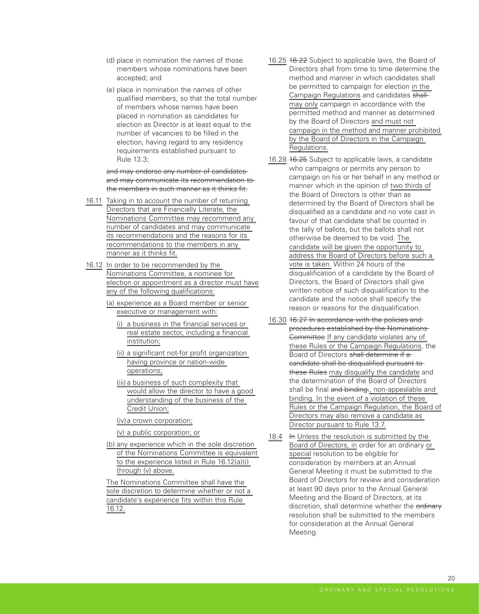- (d) place in nomination the names of those members whose nominations have been accepted; and
- (e) place in nomination the names of other qualified members, so that the total number of members whose names have been placed in nomination as candidates for election as Director is at least equal to the number of vacancies to be filled in the election, having regard to any residency requirements established pursuant to Rule 13.3;

#### and may endorse any number of candidatesand may communicate its recommendation to the members in such manner as it thinks fit.

- 16.11 Taking in to account the number of returning Directors that are Financially Literate, the Nominations Committee may recommend any number of candidates and may communicate its recommendations and the reasons for its recommendations to the members in any manner as it thinks fit.
- 16.12 In order to be recommended by the Nominations Committee, a nominee for election or appointment as a director must have any of the following qualifications:
	- (a) experience as a Board member or senior executive or management with:
		- (i) a business in the financial services or real estate sector, including a financial institution;
		- (ii) a significant not-for profit organization having province or nation-wide operations;
		- (iii) a business of such complexity that would allow the director to have a good understanding of the business of the Credit Union;
		- (iv) a crown corporation;
		- (v) a public corporation; or
	- (b) any experience which in the sole discretion of the Nominations Committee is equivalent to the experience listed in Rule 16.12(a)(i) through (v) above.

 The Nominations Committee shall have the sole discretion to determine whether or not a candidate's experience fits within this Rule 16.12.

- 16.25 16.22 Subject to applicable laws, the Board of Directors shall from time to time determine the method and manner in which candidates shall be permitted to campaign for election in the Campaign Regulations and candidates shall may only campaign in accordance with the permitted method and manner as determined by the Board of Directors and must not campaign in the method and manner prohibited by the Board of Directors in the Campaign Regulations.
- 16.28 16.25 Subject to applicable laws, a candidate who campaigns or permits any person to campaign on his or her behalf in any method or manner which in the opinion of two thirds of the Board of Directors is other than as determined by the Board of Directors shall be disqualified as a candidate and no vote cast in favour of that candidate shall be counted in the tally of ballots, but the ballots shall not otherwise be deemed to be void. The candidate will be given the opportunity to address the Board of Directors before such a vote is taken. Within 24 hours of the disqualification of a candidate by the Board of Directors, the Board of Directors shall give written notice of such disqualification to the candidate and the notice shall specify the reason or reasons for the disqualification.
- 16.30 16.27 In accordance with the policies and procedures established by the Nominations Committee If any candidate violates any of these Rules or the Campaign Regulations, the Board of Directors shall determine if a candidate shall be disqualified pursuant to these Rules may disqualify the candidate and the determination of the Board of Directors shall be final and binding., non-appealable and binding. In the event of a violation of these Rules or the Campaign Regulation, the Board of Directors may also remove a candidate as Director pursuant to Rule 13.7.
- 18.4 In Unless the resolution is submitted by the Board of Directors, in order for an ordinary or special resolution to be eligible for consideration by members at an Annual General Meeting it must be submitted to the Board of Directors for review and consideration at least 90 days prior to the Annual General Meeting and the Board of Directors, at its discretion, shall determine whether the ordinary resolution shall be submitted to the members for consideration at the Annual General Meeting.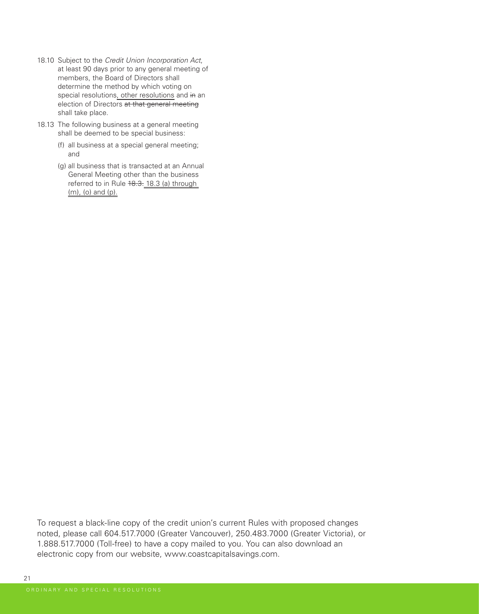- 18.10 Subject to the Credit Union Incorporation Act, at least 90 days prior to any general meeting of members, the Board of Directors shall determine the method by which voting on special resolutions, other resolutions and in an election of Directors at that general meeting shall take place.
- 18.13 The following business at a general meeting shall be deemed to be special business:
	- (f) all business at a special general meeting; and
	- (g) all business that is transacted at an Annual General Meeting other than the business referred to in Rule 18.3. 18.3 (a) through (m), (o) and (p).

To request a black-line copy of the credit union's current Rules with proposed changes noted, please call 604.517.7000 (Greater Vancouver), 250.483.7000 (Greater Victoria), or 1.888.517.7000 (Toll-free) to have a copy mailed to you. You can also download an electronic copy from our website, www.coastcapitalsavings.com.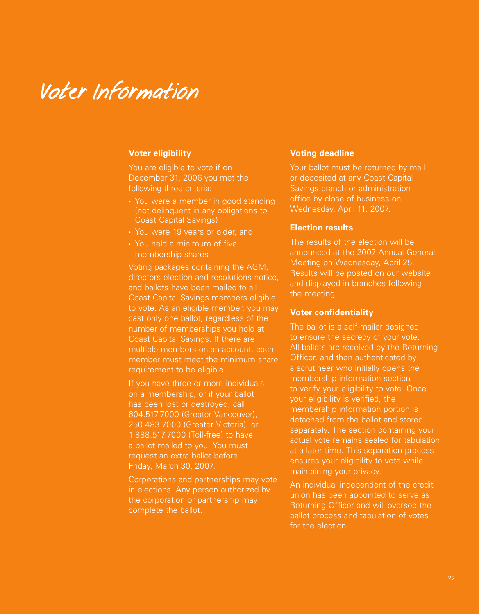# Voter Information

#### **Voter eligibility**

You are eligible to vote if on December 31, 2006 you met the following three criteria:

- You were a member in good standing (not delinquent in any obligations to Coast Capital Savings)
- You were 19 years or older, and
- You held a minimum of five membership shares

Voting packages containing the AGM, directors election and resolutions notice, and ballots have been mailed to all Coast Capital Savings members eligible to vote. As an eligible member, you may cast only one ballot, regardless of the number of memberships you hold at Coast Capital Savings. If there are multiple members on an account, each member must meet the minimum share requirement to be eligible.

If you have three or more individuals on a membership, or if your ballot has been lost or destroyed, call 604.517.7000 (Greater Vancouver), 250.483.7000 (Greater Victoria), or 1.888.517.7000 (Toll-free) to have a ballot mailed to you. You must request an extra ballot before Friday, March 30, 2007.

Corporations and partnerships may vote in elections. Any person authorized by the corporation or partnership may complete the ballot.

#### **Voting deadline**

Your ballot must be returned by mail or deposited at any Coast Capital Savings branch or administration office by close of business on Wednesday, April 11, 2007.

#### **Election results**

The results of the election will be announced at the 2007 Annual General Meeting on Wednesday, April 25. Results will be posted on our website and displayed in branches following

#### **Voter confidentiality**

The ballot is a self-mailer designed to ensure the secrecy of your vote. All ballots are received by the Returning Officer, and then authenticated by a scrutineer who initially opens the membership information section to verify your eligibility to vote. Once your eligibility is verified, the membership information portion is detached from the ballot and stored separately. The section containing your actual vote remains sealed for tabulation at a later time. This separation process ensures your eligibility to vote while maintaining your privacy.

An individual independent of the credit union has been appointed to serve as Returning Officer and will oversee the ballot process and tabulation of votes for the election.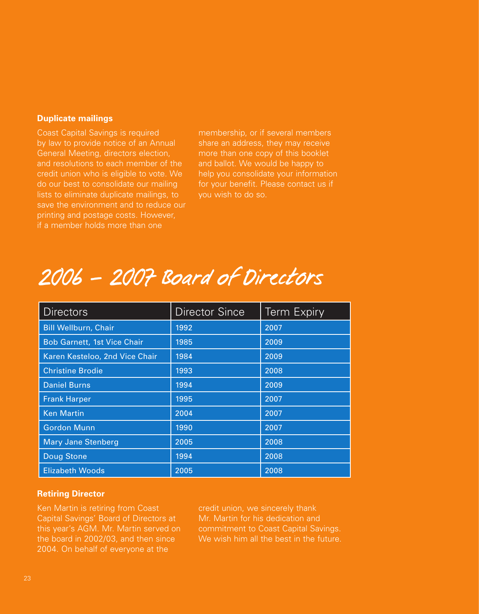#### **Duplicate mailings**

Coast Capital Savings is required by law to provide notice of an Annual General Meeting, directors election, and resolutions to each member of the credit union who is eligible to vote. We do our best to consolidate our mailing lists to eliminate duplicate mailings, to save the environment and to reduce our printing and postage costs. However, if a member holds more than one

membership, or if several members share an address, they may receive more than one copy of this booklet and ballot. We would be happy to help you consolidate your information for your benefit. Please contact us if you wish to do so.

# 2006 - 2007 Board of Directors

| <b>Directors</b>                   | <b>Director Since</b> | <b>Term Expiry</b> |
|------------------------------------|-----------------------|--------------------|
| <b>Bill Wellburn, Chair</b>        | 1992                  | 2007               |
| <b>Bob Garnett, 1st Vice Chair</b> | 1985                  | 2009               |
| Karen Kesteloo, 2nd Vice Chair     | 1984                  | 2009               |
| <b>Christine Brodie</b>            | 1993                  | 2008               |
| <b>Daniel Burns</b>                | 1994                  | 2009               |
| <b>Frank Harper</b>                | 1995                  | 2007               |
| <b>Ken Martin</b>                  | 2004                  | 2007               |
| <b>Gordon Munn</b>                 | 1990                  | 2007               |
| <b>Mary Jane Stenberg</b>          | 2005                  | 2008               |
| Doug Stone                         | 1994                  | 2008               |
| <b>Elizabeth Woods</b>             | 2005                  | 2008               |

#### **Retiring Director**

Ken Martin is retiring from Coast Capital Savings' Board of Directors at this year's AGM. Mr. Martin served on the board in 2002/03, and then since 2004. On behalf of everyone at the

credit union, we sincerely thank Mr. Martin for his dedication and commitment to Coast Capital Savings. We wish him all the best in the future.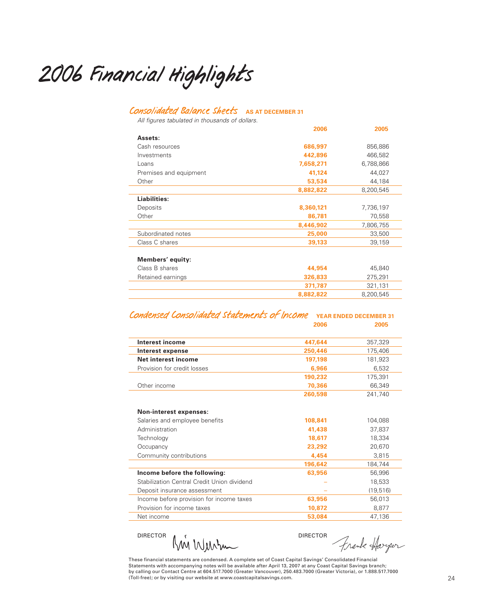2006 Financial Highlights

#### Consolidated Balance Sheets **AS AT DECEMBER 31**

All figures tabulated in thousands of dollars.

|                        | 2006      | 2005      |
|------------------------|-----------|-----------|
| Assets:                |           |           |
| Cash resources         | 686,997   | 856,886   |
| Investments            | 442,896   | 466,582   |
| Loans                  | 7,658,271 | 6,788,866 |
| Premises and equipment | 41,124    | 44,027    |
| Other                  | 53,534    | 44,184    |
|                        | 8,882,822 | 8,200,545 |
| Liabilities:           |           |           |
| Deposits               | 8,360,121 | 7,736,197 |
| Other                  | 86,781    | 70,558    |
|                        | 8,446,902 | 7,806,755 |
| Subordinated notes     | 25,000    | 33,500    |
| Class C shares         | 39,133    | 39,159    |
| Members' equity:       |           |           |
| Class B shares         | 44,954    | 45,840    |
| Retained earnings      | 326,833   | 275,291   |
|                        | 371,787   | 321,131   |
|                        | 8,882,822 | 8,200,545 |
|                        |           |           |

Condensed Consolidated Statements of Income **YEAR ENDED DECEMBER 31 2006 2005**

| Interest income                             | 447,644 | 357,329   |
|---------------------------------------------|---------|-----------|
| Interest expense                            | 250,446 | 175,406   |
| Net interest income                         | 197,198 | 181,923   |
| Provision for credit losses                 | 6,966   | 6,532     |
|                                             | 190,232 | 175,391   |
| Other income                                | 70,366  | 66,349    |
|                                             | 260,598 | 241,740   |
|                                             |         |           |
| <b>Non-interest expenses:</b>               |         |           |
| Salaries and employee benefits              | 108,841 | 104,088   |
| Administration                              | 41,438  | 37,837    |
| Technology                                  | 18,617  | 18,334    |
| Occupancy                                   | 23,292  | 20,670    |
| Community contributions                     | 4,454   | 3,815     |
|                                             | 196,642 | 184,744   |
| Income before the following:                | 63,956  | 56,996    |
| Stabilization Central Credit Union dividend |         | 18,533    |
| Deposit insurance assessment                |         | (19, 516) |
| Income before provision for income taxes    | 63,956  | 56,013    |
| Provision for income taxes                  | 10,872  | 8,877     |
| Net income                                  | 53,084  | 47,136    |

DIRECTOR AW WULLAND

Frank Harger

These financial statements are condensed. A complete set of Coast Capital Savings' Consolidated Financial Statements with accompanying notes will be available after April 13, 2007 at any Coast Capital Savings branch;<br>by calling our Contact Centre at 604.517.7000 (Greater Vancouver), 250.483.7000 (Greater Victoria), or 1.888.51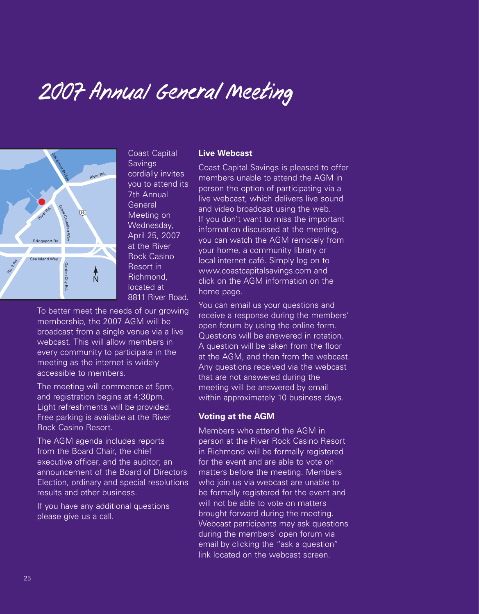# 2007 Annual General Meeting



Coast Capital Savings cordially invites you to attend its 7th Annual **General** Meeting on Wednesday, April 25, 2007 at the River Rock Casino Resort in Richmond, located at 8811 River Road. t<br>1

To better meet the needs of our growing membership, the 2007 AGM will be broadcast from a single venue via a live webcast. This will allow members in every community to participate in the meeting as the internet is widely accessible to members.

The meeting will commence at 5pm, and registration begins at 4:30pm. Light refreshments will be provided. Free parking is available at the River Rock Casino Resort.

The AGM agenda includes reports from the Board Chair, the chief executive officer, and the auditor; an announcement of the Board of Directors Election, ordinary and special resolutions results and other business.

If you have any additional questions please give us a call.

#### **Live Webcast**

Coast Capital Savings is pleased to offer members unable to attend the AGM in person the option of participating via a live webcast, which delivers live sound and video broadcast using the web. If you don't want to miss the important information discussed at the meeting, you can watch the AGM remotely from your home, a community library or local internet café. Simply log on to www.coastcapitalsavings.com and click on the AGM information on the home page.

You can email us your questions and receive a response during the members' open forum by using the online form. Questions will be answered in rotation. A question will be taken from the floor at the AGM, and then from the webcast. Any questions received via the webcast that are not answered during the meeting will be answered by email within approximately 10 business days.

#### **Voting at the AGM**

Members who attend the AGM in person at the River Rock Casino Resort in Richmond will be formally registered for the event and are able to vote on matters before the meeting. Members who join us via webcast are unable to be formally registered for the event and will not be able to vote on matters brought forward during the meeting. Webcast participants may ask questions during the members' open forum via email by clicking the "ask a question" link located on the webcast screen.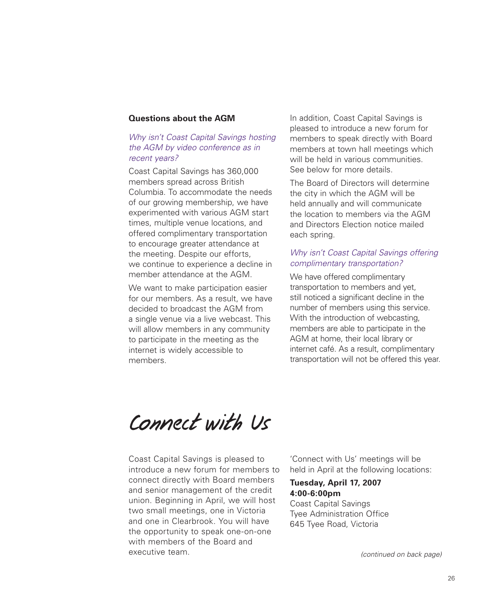#### **Questions about the AGM**

#### Why isn't Coast Capital Savings hosting the AGM by video conference as in recent years?

Coast Capital Savings has 360,000 members spread across British Columbia. To accommodate the needs of our growing membership, we have experimented with various AGM start times, multiple venue locations, and offered complimentary transportation to encourage greater attendance at the meeting. Despite our efforts, we continue to experience a decline in member attendance at the AGM.

We want to make participation easier for our members. As a result, we have decided to broadcast the AGM from a single venue via a live webcast. This will allow members in any community to participate in the meeting as the internet is widely accessible to members.

In addition, Coast Capital Savings is pleased to introduce a new forum for members to speak directly with Board members at town hall meetings which will be held in various communities. See below for more details.

The Board of Directors will determine the city in which the AGM will be held annually and will communicate the location to members via the AGM and Directors Election notice mailed each spring.

#### Why isn't Coast Capital Savings offering complimentary transportation?

We have offered complimentary transportation to members and yet, still noticed a significant decline in the number of members using this service. With the introduction of webcasting, members are able to participate in the AGM at home, their local library or internet café. As a result, complimentary transportation will not be offered this year.

Connect with Us

Coast Capital Savings is pleased to introduce a new forum for members to connect directly with Board members and senior management of the credit union. Beginning in April, we will host two small meetings, one in Victoria and one in Clearbrook. You will have the opportunity to speak one-on-one with members of the Board and executive team.

'Connect with Us' meetings will be held in April at the following locations:

#### **Tuesday, April 17, 2007 4:00-6:00pm**

Coast Capital Savings Tyee Administration Office 645 Tyee Road, Victoria

(continued on back page)